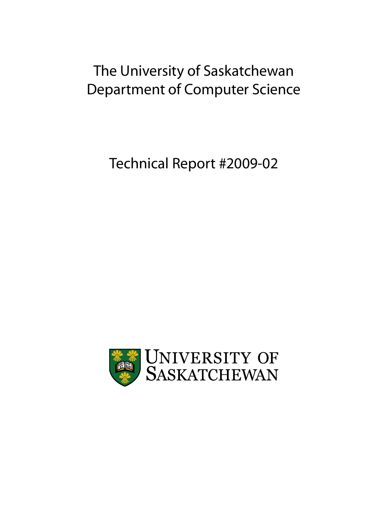# The University of Saskatchewan Department of Computer Science

Technical Report #2009-02

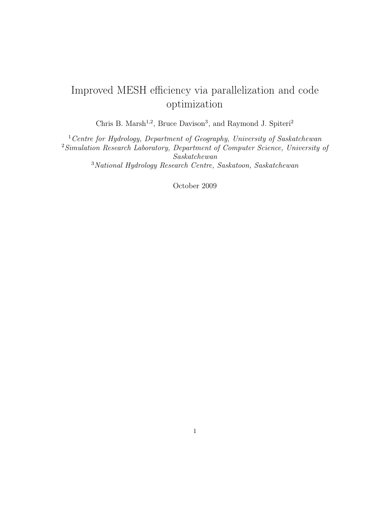## Improved MESH efficiency via parallelization and code optimization

Chris B. Marsh<sup>1,2</sup>, Bruce Davison<sup>3</sup>, and Raymond J. Spiteri<sup>2</sup>

<sup>1</sup> Centre for Hydrology, Department of Geography, University of Saskatchewan Simulation Research Laboratory, Department of Computer Science, University of Saskatchewan National Hydrology Research Centre, Saskatoon, Saskatchewan

October 2009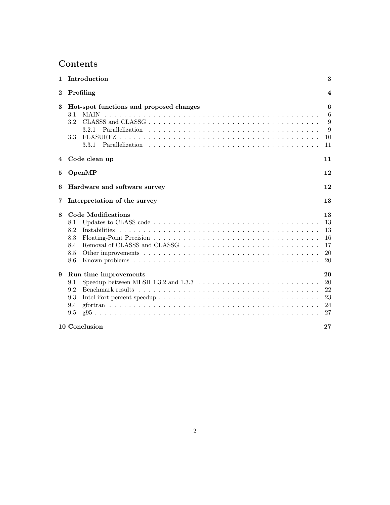## Contents

| $\mathbf{1}$ | Introduction                                                                                                                                                      | 3                                      |  |  |  |  |  |  |
|--------------|-------------------------------------------------------------------------------------------------------------------------------------------------------------------|----------------------------------------|--|--|--|--|--|--|
| $\bf{2}$     | Profiling<br>$\overline{4}$                                                                                                                                       |                                        |  |  |  |  |  |  |
| 3            | Hot-spot functions and proposed changes<br>MAIN<br>3.1<br>3.2<br>3.2.1<br>3.3<br>3.3.1                                                                            | 6<br>6<br>9<br>9<br>10<br>11           |  |  |  |  |  |  |
| 4            | Code clean up<br>11                                                                                                                                               |                                        |  |  |  |  |  |  |
| 5            | OpenMP                                                                                                                                                            | 12                                     |  |  |  |  |  |  |
| 6            | Hardware and software survey<br>12                                                                                                                                |                                        |  |  |  |  |  |  |
| 7            | Interpretation of the survey<br>13                                                                                                                                |                                        |  |  |  |  |  |  |
| 8            | <b>Code Modifications</b><br>8.1<br>8.2<br>8.3<br>8.4<br>8.5<br>8.6                                                                                               | 13<br>13<br>13<br>16<br>17<br>20<br>20 |  |  |  |  |  |  |
| 9            | Run time improvements<br>Speedup between MESH 1.3.2 and $1.3.3 \ldots \ldots \ldots \ldots \ldots \ldots \ldots \ldots \ldots$<br>9.1<br>9.2<br>9.3<br>9.4<br>9.5 | 20<br>20<br>22<br>23<br>24<br>27       |  |  |  |  |  |  |
|              | 10 Conclusion<br>$27\,$                                                                                                                                           |                                        |  |  |  |  |  |  |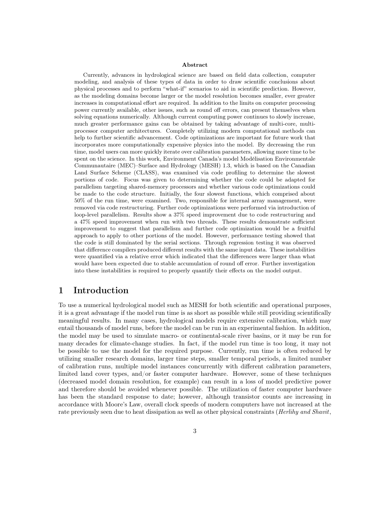#### Abstract

Currently, advances in hydrological science are based on field data collection, computer modeling, and analysis of these types of data in order to draw scientific conclusions about physical processes and to perform "what-if" scenarios to aid in scientific prediction. However, as the modeling domains become larger or the model resolution becomes smaller, ever greater increases in computational effort are required. In addition to the limits on computer processing power currently available, other issues, such as round off errors, can present themselves when solving equations numerically. Although current computing power continues to slowly increase, much greater performance gains can be obtained by taking advantage of multi-core, multiprocessor computer architectures. Completely utilizing modern computational methods can help to further scientific advancement. Code optimizations are important for future work that incorporates more computationally expensive physics into the model. By decreasing the run time, model users can more quickly iterate over calibration parameters, allowing more time to be spent on the science. In this work, Environment Canada's model Modélisation Environmentale Communautaire (MEC)–Surface and Hydrology (MESH) 1.3, which is based on the Canadian Land Surface Scheme (CLASS), was examined via code profiling to determine the slowest portions of code. Focus was given to determining whether the code could be adapted for parallelism targeting shared-memory processors and whether various code optimizations could be made to the code structure. Initially, the four slowest functions, which comprised about 50% of the run time, were examined. Two, responsible for internal array management, were removed via code restructuring. Further code optimizations were performed via introduction of loop-level parallelism. Results show a 37% speed improvement due to code restructuring and a 47% speed improvement when run with two threads. These results demonstrate sufficient improvement to suggest that parallelism and further code optimization would be a fruitful approach to apply to other portions of the model. However, performance testing showed that the code is still dominated by the serial sections. Through regression testing it was observed that difference compilers produced different results with the same input data. These instabilities were quantified via a relative error which indicated that the differences were larger than what would have been expected due to stable accumulation of round off error. Further investigation into these instabilities is required to properly quantify their effects on the model output.

### 1 Introduction

To use a numerical hydrological model such as MESH for both scientific and operational purposes, it is a great advantage if the model run time is as short as possible while still providing scientifically meaningful results. In many cases, hydrological models require extensive calibration, which may entail thousands of model runs, before the model can be run in an experimental fashion. In addition, the model may be used to simulate macro- or continental-scale river basins, or it may be run for many decades for climate-change studies. In fact, if the model run time is too long, it may not be possible to use the model for the required purpose. Currently, run time is often reduced by utilizing smaller research domains, larger time steps, smaller temporal periods, a limited number of calibration runs, multiple model instances concurrently with different calibration parameters, limited land cover types, and/or faster computer hardware. However, some of these techniques (decreased model domain resolution, for example) can result in a loss of model predictive power and therefore should be avoided whenever possible. The utilization of faster computer hardware has been the standard response to date; however, although transistor counts are increasing in accordance with Moore's Law, overall clock speeds of modern computers have not increased at the rate previously seen due to heat dissipation as well as other physical constraints (*Herlihy and Shavit*,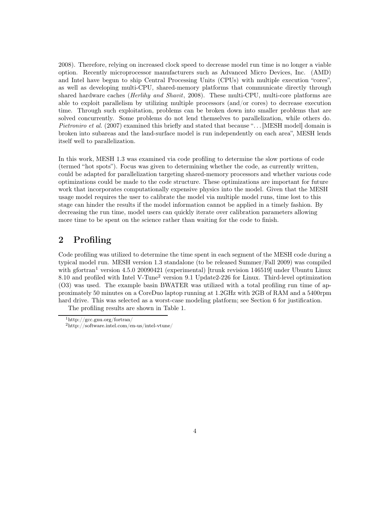2008). Therefore, relying on increased clock speed to decrease model run time is no longer a viable option. Recently microprocessor manufacturers such as Advanced Micro Devices, Inc. (AMD) and Intel have begun to ship Central Processing Units (CPUs) with multiple execution "cores", as well as developing multi-CPU, shared-memory platforms that communicate directly through shared hardware caches *(Herlihy and Shavit, 2008)*. These multi-CPU, multi-core platforms are able to exploit parallelism by utilizing multiple processors (and/or cores) to decrease execution time. Through such exploitation, problems can be broken down into smaller problems that are solved concurrently. Some problems do not lend themselves to parallelization, while others do. Pietroniro et al. (2007) examined this briefly and stated that because "... [MESH model] domain is broken into subareas and the land-surface model is run independently on each area", MESH lends itself well to parallelization.

In this work, MESH 1.3 was examined via code profiling to determine the slow portions of code (termed "hot spots"). Focus was given to determining whether the code, as currently written, could be adapted for parallelization targeting shared-memory processors and whether various code optimizations could be made to the code structure. These optimizations are important for future work that incorporates computationally expensive physics into the model. Given that the MESH usage model requires the user to calibrate the model via multiple model runs, time lost to this stage can hinder the results if the model information cannot be applied in a timely fashion. By decreasing the run time, model users can quickly iterate over calibration parameters allowing more time to be spent on the science rather than waiting for the code to finish.

### 2 Profiling

Code profiling was utilized to determine the time spent in each segment of the MESH code during a typical model run. MESH version 1.3 standalone (to be released Summer/Fall 2009) was compiled with gfortran<sup>1</sup> version 4.5.0 20090421 (experimental) [trunk revision 146519] under Ubuntu Linux 8.10 and profiled with Intel V-Tune<sup>2</sup> version 9.1 Update2-226 for Linux. Third-level optimization (O3) was used. The example basin BWATER was utilized with a total profiling run time of approximately 50 minutes on a CoreDuo laptop running at 1.2GHz with 2GB of RAM and a 5400rpm hard drive. This was selected as a worst-case modeling platform; see Section 6 for justification.

The profiling results are shown in Table 1.

<sup>1</sup>http://gcc.gnu.org/fortran/

<sup>2</sup>http://software.intel.com/en-us/intel-vtune/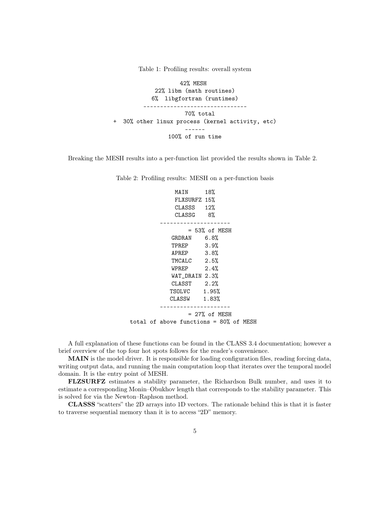Table 1: Profiling results: overall system

42% MESH 22% libm (math routines) 6% libgfortran (runtimes) ------------------------------- 70% total + 30% other linux process (kernel activity, etc) ------ 100% of run time

Breaking the MESH results into a per-function list provided the results shown in Table 2.

MAIN 18% FLXSURFZ 15% CLASSS 12% CLASSG 8% --------------------- = 53% of MESH GRDRAN 6.8% TPREP 3.9% APREP 3.8% TMCALC 2.5% WPREP 2.4% WAT\_DRAIN 2.3% CLASST 2.2% TSOLVC 1.95% CLASSW 1.83% --------------------- = 27% of MESH total of above functions = 80% of MESH

Table 2: Profiling results: MESH on a per-function basis

A full explanation of these functions can be found in the CLASS 3.4 documentation; however a brief overview of the top four hot spots follows for the reader's convenience.

MAIN is the model driver. It is responsible for loading configuration files, reading forcing data, writing output data, and running the main computation loop that iterates over the temporal model domain. It is the entry point of MESH.

FLZSURFZ estimates a stability parameter, the Richardson Bulk number, and uses it to estimate a corresponding Monin–Obukhov length that corresponds to the stability parameter. This is solved for via the Newton–Raphson method.

CLASSS "scatters" the 2D arrays into 1D vectors. The rationale behind this is that it is faster to traverse sequential memory than it is to access "2D" memory.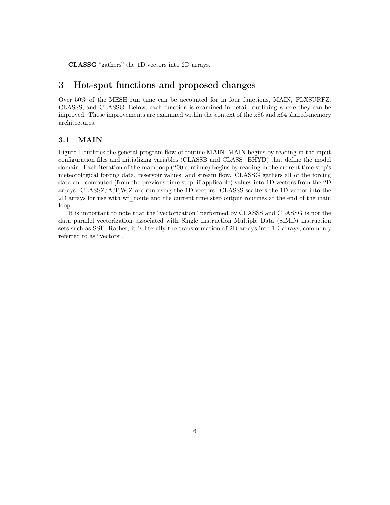CLASSG "gathers" the 1D vectors into 2D arrays.

### 3 Hot-spot functions and proposed changes

Over 50% of the MESH run time can be accounted for in four functions, MAIN, FLXSURFZ, CLASSS, and CLASSG. Below, each function is examined in detail, outlining where they can be improved. These improvements are examined within the context of the x86 and x64 shared-memory architectures.

### 3.1 MAIN

Figure 1 outlines the general program flow of routine MAIN. MAIN begins by reading in the input configuration files and initializing variables (CLASSB and CLASS\_BHYD) that define the model domain. Each iteration of the main loop (200 continue) begins by reading in the current time step's meteorological forcing data, reservoir values, and stream flow. CLASSG gathers all of the forcing data and computed (from the previous time step, if applicable) values into 1D vectors from the 2D arrays. CLASSZ/A,T,W,Z are run using the 1D vectors. CLASSS scatters the 1D vector into the 2D arrays for use with wf\_route and the current time step output routines at the end of the main loop.

It is important to note that the "vectorization" performed by CLASSS and CLASSG is not the data parallel vectorization associated with Single Instruction Multiple Data (SIMD) instruction sets such as SSE. Rather, it is literally the transformation of 2D arrays into 1D arrays, commonly referred to as "vectors".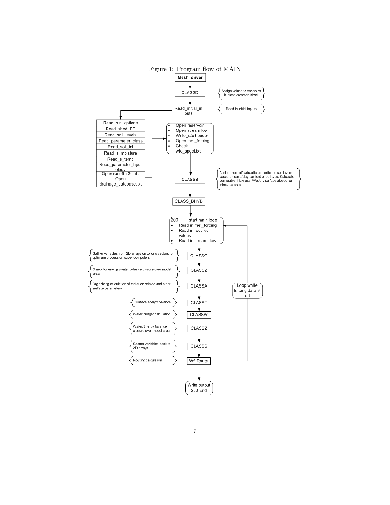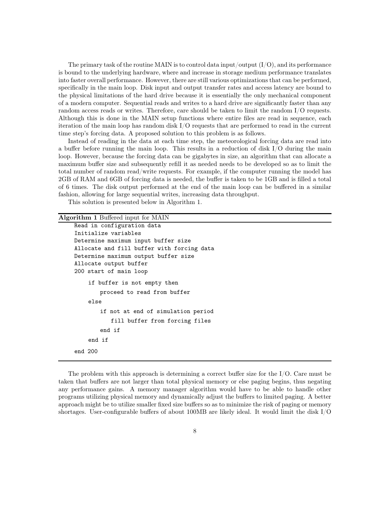The primary task of the routine MAIN is to control data input/output  $(I/O)$ , and its performance is bound to the underlying hardware, where and increase in storage medium performance translates into faster overall performance. However, there are still various optimizations that can be performed, specifically in the main loop. Disk input and output transfer rates and access latency are bound to the physical limitations of the hard drive because it is essentially the only mechanical component of a modern computer. Sequential reads and writes to a hard drive are significantly faster than any random access reads or writes. Therefore, care should be taken to limit the random I/O requests. Although this is done in the MAIN setup functions where entire files are read in sequence, each iteration of the main loop has random disk I/O requests that are performed to read in the current time step's forcing data. A proposed solution to this problem is as follows.

Instead of reading in the data at each time step, the meteorological forcing data are read into a buffer before running the main loop. This results in a reduction of disk I/O during the main loop. However, because the forcing data can be gigabytes in size, an algorithm that can allocate a maximum buffer size and subsequently refill it as needed needs to be developed so as to limit the total number of random read/write requests. For example, if the computer running the model has 2GB of RAM and 6GB of forcing data is needed, the buffer is taken to be 1GB and is filled a total of 6 times. The disk output performed at the end of the main loop can be buffered in a similar fashion, allowing for large sequential writes, increasing data throughput.

This solution is presented below in Algorithm 1.

#### Algorithm 1 Buffered input for MAIN

```
Read in configuration data
Initialize variables
Determine maximum input buffer size
Allocate and fill buffer with forcing data
Determine maximum output buffer size
Allocate output buffer
200 start of main loop
    if buffer is not empty then
       proceed to read from buffer
    else
       if not at end of simulation period
           fill buffer from forcing files
       end if
    end if
end 200
```
The problem with this approach is determining a correct buffer size for the  $I/O$ . Care must be taken that buffers are not larger than total physical memory or else paging begins, thus negating any performance gains. A memory manager algorithm would have to be able to handle other programs utilizing physical memory and dynamically adjust the buffers to limited paging. A better approach might be to utilize smaller fixed size buffers so as to minimize the risk of paging or memory shortages. User-configurable buffers of about 100MB are likely ideal. It would limit the disk I/O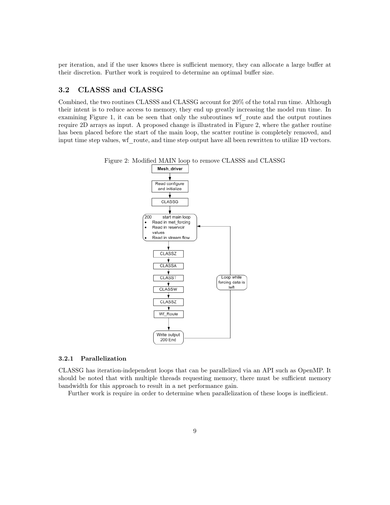per iteration, and if the user knows there is sufficient memory, they can allocate a large buffer at their discretion. Further work is required to determine an optimal buffer size.

### 3.2 CLASSS and CLASSG

Combined, the two routines CLASSS and CLASSG account for 20% of the total run time. Although their intent is to reduce access to memory, they end up greatly increasing the model run time. In examining Figure 1, it can be seen that only the subroutines wf route and the output routines require 2D arrays as input. A proposed change is illustrated in Figure 2, where the gather routine has been placed before the start of the main loop, the scatter routine is completely removed, and input time step values, wf\_route, and time step output have all been rewritten to utilize 1D vectors.



#### Figure 2: Modified MAIN loop to remove CLASSS and CLASSG

#### 3.2.1 Parallelization

CLASSG has iteration-independent loops that can be parallelized via an API such as OpenMP. It should be noted that with multiple threads requesting memory, there must be sufficient memory bandwidth for this approach to result in a net performance gain.

Further work is require in order to determine when parallelization of these loops is inefficient.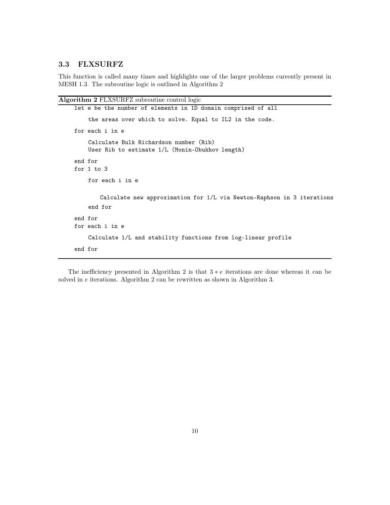### 3.3 FLXSURFZ

This function is called many times and highlights one of the larger problems currently present in MESH 1.3. The subroutine logic is outlined in Algorithm 2

```
Algorithm 2 FLXSURFZ subroutine control logic
```

```
let e be the number of elements in 1D domain comprised of all
    the areas over which to solve. Equal to IL2 in the code.
for each i in e
    Calculate Bulk Richardson number (Rib)
    User Rib to estimate 1/L (Monin-Obukhov length)
end for
for 1 to 3
    for each i in e
        Calculate new approximation for 1/L via Newton-Raphson in 3 iterations
    end for
end for
for each i in e
    Calculate 1/L and stability functions from log-linear profile
end for
```
The inefficiency presented in Algorithm 2 is that  $3 * e$  iterations are done whereas it can be solved in e iterations. Algorithm 2 can be rewritten as shown in Algorithm 3.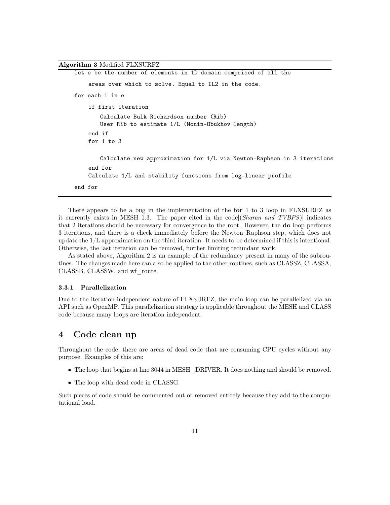```
Algorithm 3 Modified FLXSURFZ
    let e be the number of elements in 1D domain comprised of all the
         areas over which to solve. Equal to IL2 in the code.
    for each i in e
         if first iteration
            Calculate Bulk Richardson number (Rib)
            User Rib to estimate 1/L (Monin-Obukhov length)
         end if
         for 1 to 3
            Calculate new approximation for 1/L via Newton-Raphson in 3 iterations
         end for
         Calculate 1/L and stability functions from log-linear profile
    end for
```
There appears to be a bug in the implementation of the for 1 to 3 loop in FLXSURFZ as it currently exists in MESH 1.3. The paper cited in the code[(Sharan and TVBPS)] indicates that 2 iterations should be necessary for convergence to the root. However, the do loop performs 3 iterations, and there is a check immediately before the Newton–Raphson step, which does not update the 1/L approximation on the third iteration. It needs to be determined if this is intentional. Otherwise, the last iteration can be removed, further limiting redundant work.

As stated above, Algorithm 2 is an example of the redundancy present in many of the subroutines. The changes made here can also be applied to the other routines, such as CLASSZ, CLASSA, CLASSB, CLASSW, and wf\_route.

#### 3.3.1 Parallelization

Due to the iteration-independent nature of FLXSURFZ, the main loop can be parallelized via an API such as OpenMP. This parallelization strategy is applicable throughout the MESH and CLASS code because many loops are iteration independent.

### 4 Code clean up

Throughout the code, there are areas of dead code that are consuming CPU cycles without any purpose. Examples of this are:

- The loop that begins at line 3044 in MESH DRIVER. It does nothing and should be removed.
- The loop with dead code in CLASSG.

Such pieces of code should be commented out or removed entirely because they add to the computational load.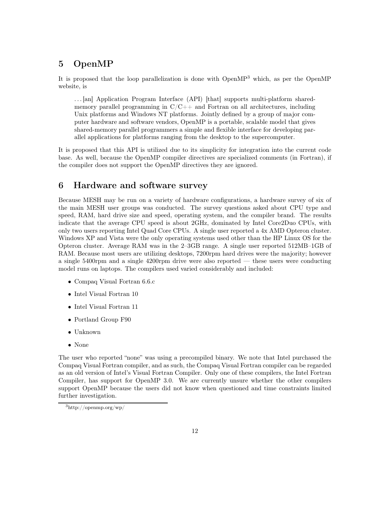### 5 OpenMP

It is proposed that the loop parallelization is done with OpenMP<sup>3</sup> which, as per the OpenMP website, is

. . . [an] Application Program Interface (API) [that] supports multi-platform sharedmemory parallel programming in  $C/C++$  and Fortran on all architectures, including Unix platforms and Windows NT platforms. Jointly defined by a group of major computer hardware and software vendors, OpenMP is a portable, scalable model that gives shared-memory parallel programmers a simple and flexible interface for developing parallel applications for platforms ranging from the desktop to the supercomputer.

It is proposed that this API is utilized due to its simplicity for integration into the current code base. As well, because the OpenMP compiler directives are specialized comments (in Fortran), if the compiler does not support the OpenMP directives they are ignored.

### 6 Hardware and software survey

Because MESH may be run on a variety of hardware configurations, a hardware survey of six of the main MESH user groups was conducted. The survey questions asked about CPU type and speed, RAM, hard drive size and speed, operating system, and the compiler brand. The results indicate that the average CPU speed is about 2GHz, dominated by Intel Core2Duo CPUs, with only two users reporting Intel Quad Core CPUs. A single user reported a 4x AMD Opteron cluster. Windows XP and Vista were the only operating systems used other than the HP Linux OS for the Opteron cluster. Average RAM was in the 2–3GB range. A single user reported 512MB–1GB of RAM. Because most users are utilizing desktops, 7200rpm hard drives were the majority; however a single 5400rpm and a single 4200rpm drive were also reported — these users were conducting model runs on laptops. The compilers used varied considerably and included:

- Compaq Visual Fortran 6.6.c
- Intel Visual Fortran 10
- Intel Visual Fortran 11
- Portland Group F90
- Unknown
- None

The user who reported "none" was using a precompiled binary. We note that Intel purchased the Compaq Visual Fortran compiler, and as such, the Compaq Visual Fortran compiler can be regarded as an old version of Intel's Visual Fortran Compiler. Only one of these compilers, the Intel Fortran Compiler, has support for OpenMP 3.0. We are currently unsure whether the other compilers support OpenMP because the users did not know when questioned and time constraints limited further investigation.

<sup>3</sup>http://openmp.org/wp/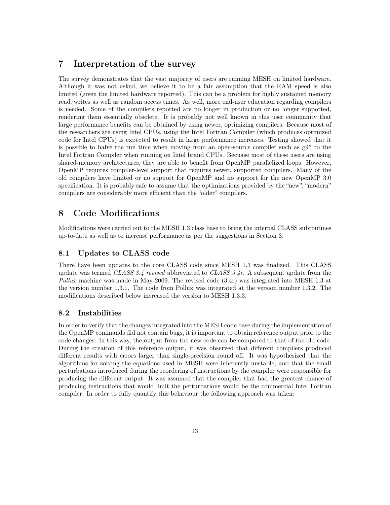### 7 Interpretation of the survey

The survey demonstrates that the vast majority of users are running MESH on limited hardware. Although it was not asked, we believe it to be a fair assumption that the RAM speed is also limited (given the limited hardware reported). This can be a problem for highly sustained memory read/writes as well as random access times. As well, more end-user education regarding compilers is needed. Some of the compilers reported are no longer in production or no longer supported, rendering them essentially obsolete. It is probably not well known in this user community that large performance benefits can be obtained by using newer, optimizing compilers. Because most of the researchers are using Intel CPUs, using the Intel Fortran Compiler (which produces optimized code for Intel CPUs) is expected to result in large performance increases. Testing showed that it is possible to halve the run time when moving from an open-source compiler such as g95 to the Intel Fortran Compiler when running on Intel brand CPUs. Becuase most of these users are using shared-memory architectures, they are able to benefit from OpenMP parallelized loops. However, OpenMP requires compiler-level support that requires newer, supported compilers. Many of the old compilers have limited or no support for OpenMP and no support for the new OpenMP 3.0 specification. It is probably safe to assume that the optimizations provided by the "new", "modern" compilers are considerably more efficient than the "older" compilers.

### 8 Code Modifications

Modifications were carried out to the MESH 1.3 class base to bring the internal CLASS subroutines up-to-date as well as to increase performance as per the suggestions in Section 3.

#### 8.1 Updates to CLASS code

There have been updates to the core CLASS code since MESH 1.3 was finalized. This CLASS update was termed CLASS 3.4 revised abbreviated to CLASS 3.4r. A subsequent update from the Pollux machine was made in May 2009. The revised code (3.4r) was integrated into MESH 1.3 at the version number 1.3.1. The code from Pollux was integrated at the version number 1.3.2. The modifications described below increased the version to MESH 1.3.3.

#### 8.2 Instabilities

In order to verify that the changes integrated into the MESH code base during the implementation of the OpenMP commands did not contain bugs, it is important to obtain reference output prior to the code changes. In this way, the output from the new code can be compared to that of the old code. During the creation of this reference output, it was observed that different compilers produced different results with errors larger than single-precision round off. It was hypothesized that the algorithms for solving the equations used in MESH were inherently unstable, and that the small perturbations introduced during the reordering of instructions by the compiler were responsible for producing the different output. It was assumed that the compiler that had the greatest chance of producing instructions that would limit the perturbations would be the commercial Intel Fortran compiler. In order to fully quantify this behaviour the following approach was taken: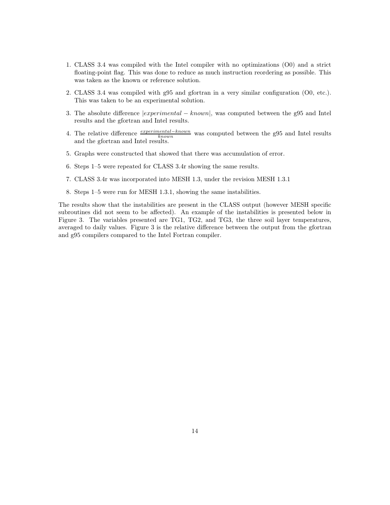- 1. CLASS 3.4 was compiled with the Intel compiler with no optimizations (O0) and a strict floating-point flag. This was done to reduce as much instruction reordering as possible. This was taken as the known or reference solution.
- 2. CLASS 3.4 was compiled with g95 and gfortran in a very similar configuration (O0, etc.). This was taken to be an experimental solution.
- 3. The absolute difference |experimental − known|, was computed between the g95 and Intel results and the gfortran and Intel results.
- 4. The relative difference  $\frac{experimental known}{known}$  was computed between the g95 and Intel results The relative difference  $\frac{k_{\text{now}}}{k_{\text{now}}}$ <br>and the gfortran and Intel results.
- 5. Graphs were constructed that showed that there was accumulation of error.
- 6. Steps 1–5 were repeated for CLASS 3.4r showing the same results.
- 7. CLASS 3.4r was incorporated into MESH 1.3, under the revision MESH 1.3.1
- 8. Steps 1–5 were run for MESH 1.3.1, showing the same instabilities.

The results show that the instabilities are present in the CLASS output (however MESH specific subroutines did not seem to be affected). An example of the instabilities is presented below in Figure 3. The variables presented are TG1, TG2, and TG3, the three soil layer temperatures, averaged to daily values. Figure 3 is the relative difference between the output from the gfortran and g95 compilers compared to the Intel Fortran compiler.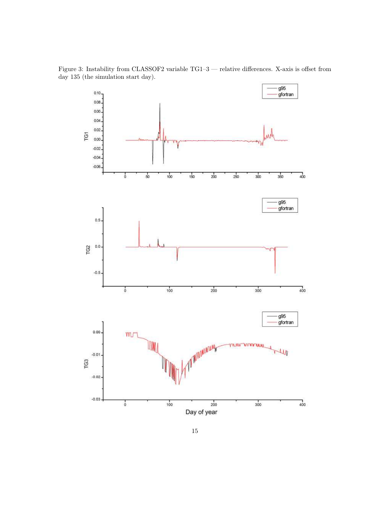Figure 3: Instability from CLASSOF2 variable TG1–3 — relative differences. X-axis is offset from day 135 (the simulation start day).

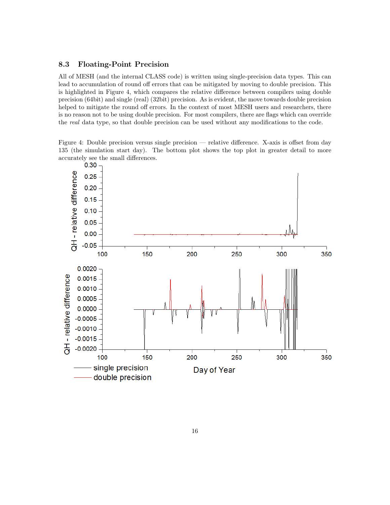### 8.3 Floating-Point Precision

All of MESH (and the internal CLASS code) is written using single-precision data types. This can lead to accumulation of round off errors that can be mitigated by moving to double precision. This is highlighted in Figure 4, which compares the relative difference between compilers using double precision (64bit) and single (real) (32bit) precision. As is evident, the move towards double precision helped to mitigate the round off errors. In the context of most MESH users and researchers, there is no reason not to be using double precision. For most compilers, there are flags which can override the real data type, so that double precision can be used without any modifications to the code.

Figure 4: Double precision versus single precision — relative difference. X-axis is offset from day 135 (the simulation start day). The bottom plot shows the top plot in greater detail to more accurately see the small differences.

![](_page_16_Figure_3.jpeg)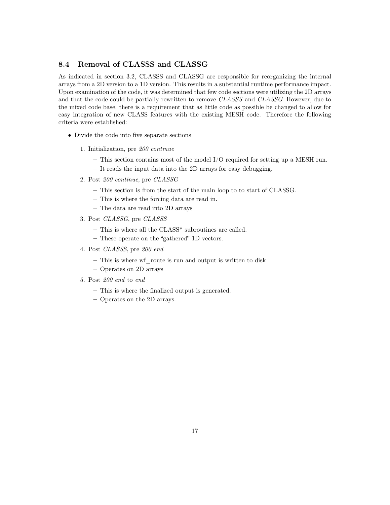### 8.4 Removal of CLASSS and CLASSG

As indicated in section 3.2, CLASSS and CLASSG are responsible for reorganizing the internal arrays from a 2D version to a 1D version. This results in a substantial runtime performance impact. Upon examination of the code, it was determined that few code sections were utilizing the 2D arrays and that the code could be partially rewritten to remove CLASSS and CLASSG. However, due to the mixed code base, there is a requirement that as little code as possible be changed to allow for easy integration of new CLASS features with the existing MESH code. Therefore the following criteria were established:

- Divide the code into five separate sections
	- 1. Initialization, pre 200 continue
		- This section contains most of the model I/O required for setting up a MESH run.
		- It reads the input data into the 2D arrays for easy debugging.
	- 2. Post 200 continue, pre CLASSG
		- This section is from the start of the main loop to to start of CLASSG.
		- This is where the forcing data are read in.
		- The data are read into 2D arrays
	- 3. Post CLASSG, pre CLASSS
		- This is where all the CLASS\* subroutines are called.
		- These operate on the "gathered" 1D vectors.
	- 4. Post CLASSS, pre 200 end
		- This is where wf\_route is run and output is written to disk
		- Operates on 2D arrays
	- 5. Post 200 end to end
		- This is where the finalized output is generated.
		- Operates on the 2D arrays.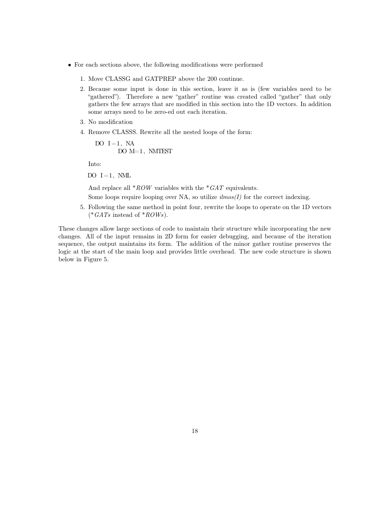- For each sections above, the following modifications were performed
	- 1. Move CLASSG and GATPREP above the 200 continue.
	- 2. Because some input is done in this section, leave it as is (few variables need to be "gathered"). Therefore a new "gather" routine was created called "gather" that only gathers the few arrays that are modified in this section into the 1D vectors. In addition some arrays need to be zero-ed out each iteration.
	- 3. No modification
	- 4. Remove CLASSS. Rewrite all the nested loops of the form:

$$
\begin{array}{ll}\n\text{DO} & \text{I} = 1, \text{ NA} \\
\text{DO} & \text{M} = 1, \text{ NMTEST}\n\end{array}
$$

Into:

DO  $I=1$ , NML

And replace all  $*ROW$  variables with the  $*GAT$  equivalents.

Some loops require looping over NA, so utilize  $\lim_{s \to s}$  for the correct indexing.

5. Following the same method in point four, rewrite the loops to operate on the 1D vectors  $(* GATs$  instead of  $*ROWs$ .

These changes allow large sections of code to maintain their structure while incorporating the new changes. All of the input remains in 2D form for easier debugging, and because of the iteration sequence, the output maintains its form. The addition of the minor gather routine preserves the logic at the start of the main loop and provides little overhead. The new code structure is shown below in Figure 5.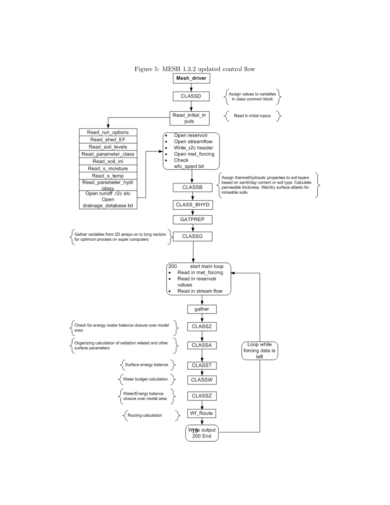![](_page_19_Figure_0.jpeg)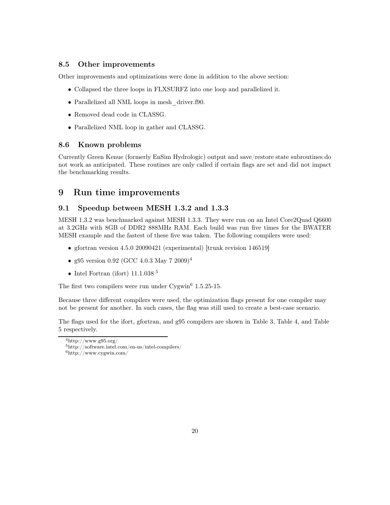#### 8.5 Other improvements

Other improvements and optimizations were done in addition to the above section:

- Collapsed the three loops in FLXSURFZ into one loop and parallelized it.
- Parallelized all NML loops in mesh\_driver.f90.
- Removed dead code in CLASSG.
- Parallelized NML loop in gather and CLASSG.

#### 8.6 Known problems

Currently Green Kenue (formerly EnSim Hydrologic) output and save/restore state subroutines do not work as anticipated. These routines are only called if certain flags are set and did not impact the benchmarking results.

### 9 Run time improvements

#### 9.1 Speedup between MESH 1.3.2 and 1.3.3

MESH 1.3.2 was benchmarked against MESH 1.3.3. They were run on an Intel Core2Quad Q6600 at 3.2GHz with 8GB of DDR2 888MHz RAM. Each build was run five times for the BWATER MESH example and the fastest of these five was taken. The following compilers were used:

- gfortran version 4.5.0 20090421 (experimental) [trunk revision 146519]
- g95 version 0.92 (GCC 4.0.3 May 7 2009)<sup>4</sup>
- Intel Fortran (ifort) 11.1.038  $^5$

The first two compilers were run under  $Cygwin<sup>6</sup> 1.5.25-15.$ 

Because three different compilers were used, the optimization flags present for one compiler may not be present for another. In such cases, the flag was still used to create a best-case scenario.

The flags used for the ifort, gfortran, and g95 compilers are shown in Table 3, Table 4, and Table 5 respectively.

 $^{4}$ http://www.g95.org/

<sup>5</sup>http://software.intel.com/en-us/intel-compilers/

 $6$ http://www.cygwin.com/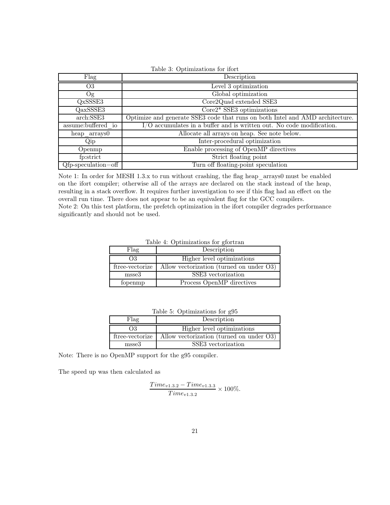| Table 3: Optimizations for ifort |                                                                               |  |  |  |  |  |  |
|----------------------------------|-------------------------------------------------------------------------------|--|--|--|--|--|--|
| Flag                             | Description                                                                   |  |  |  |  |  |  |
| O <sub>3</sub>                   | Level 3 optimization                                                          |  |  |  |  |  |  |
| O <sub>g</sub>                   | Global optimization                                                           |  |  |  |  |  |  |
| QxSSSE3                          | Core2Quad extended SSE3                                                       |  |  |  |  |  |  |
| QaxSSSE3                         | $\text{Core2*}\text{ SS}\overline{\text{E3}}$ optimizations                   |  |  |  |  |  |  |
| arch: SSE3                       | Optimize and generate SSE3 code that runs on both Intel and AMD architecture. |  |  |  |  |  |  |
| assume:buffered io               | I/O accumulates in a buffer and is written out. No code modification.         |  |  |  |  |  |  |
| heap arrays0                     | Allocate all arrays on heap. See note below.                                  |  |  |  |  |  |  |
| Qip                              | Inter-procedural optimization                                                 |  |  |  |  |  |  |
| Openmp                           | Enable processing of OpenMP directives                                        |  |  |  |  |  |  |
| fp:strict                        | Strict floating point                                                         |  |  |  |  |  |  |
| $Qfp$ -speculation=off           | Turn off floating-point speculation                                           |  |  |  |  |  |  |

Note 1: In order for MESH 1.3.x to run without crashing, the flag heap arrays0 must be enabled on the ifort compiler; otherwise all of the arrays are declared on the stack instead of the heap, resulting in a stack overflow. It requires further investigation to see if this flag had an effect on the overall run time. There does not appear to be an equivalent flag for the GCC compilers. Note 2: On this test platform, the prefetch optimization in the ifort compiler degrades performance significantly and should not be used.

Table 4: Optimizations for gfortran

| Flag            | Description                              |
|-----------------|------------------------------------------|
| O3              | Higher level optimizations               |
| ftree-vectorize | Allow vectorization (turned on under O3) |
| $_{\rm{msse3}}$ | SSE3 vectorization                       |
| fopenmp         | Process OpenMP directives                |

Table 5: Optimizations for g95

| Flag            | Description                              |
|-----------------|------------------------------------------|
| OЗ              | Higher level optimizations               |
| ftree-vectorize | Allow vectorization (turned on under O3) |
| msse3           | SSE3 vectorization                       |

Note: There is no OpenMP support for the g95 compiler.

The speed up was then calculated as

$$
\frac{Time_{v1.3.2} - Time_{v1.3.3}}{Time_{v1.3.2}} \times 100\%.
$$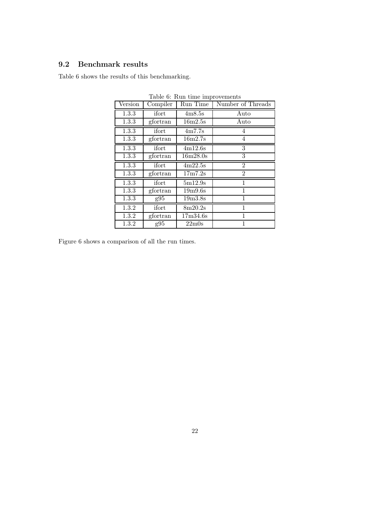### 9.2 Benchmark results

Table 6 shows the results of this benchmarking.

| Version | Complier | Run Time                       | Number of Threads |
|---------|----------|--------------------------------|-------------------|
| 1.3.3   | ifort    | 4m8.5s                         | Auto              |
| 1.3.3   | gfortran | 16m2.5s                        | Auto              |
| 1.3.3   | ifort    | 4m7.7s                         | 4                 |
| 1.3.3   | gfortran | 16m2.7s                        | 4                 |
| 1.3.3   | ifort    | 4m12.6s                        | 3                 |
| 1.3.3   | gfortran | 16m28.0s                       | 3                 |
| 1.3.3   | ifort    | 4m22.5s                        | $\overline{2}$    |
| 1.3.3   | gfortran | 17m7.2s                        | $\overline{2}$    |
| 1.3.3   | ifort    | 5m12.9s                        | $\mathbf{1}$      |
| 1.3.3   | gfortran | 19m9.6s                        | 1                 |
| 1.3.3   | g95      | 19m3.8s                        | 1                 |
| 1.3.2   | ifort    | 8m20.2s                        | 1                 |
| 1.3.2   | gfortran | 17m34.6s                       | 1                 |
| 1.3.2   | g95      | 22 <sub>m</sub> 0 <sub>s</sub> | 1                 |

Table 6: Run time improvements

Figure 6 shows a comparison of all the run times.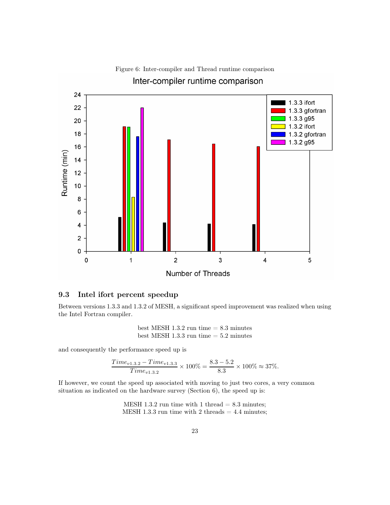![](_page_23_Figure_0.jpeg)

## Figure 6: Inter-compiler and Thread runtime comparison

9.3 Intel ifort percent speedup

Between versions 1.3.3 and 1.3.2 of MESH, a significant speed improvement was realized when using the Intel Fortran compiler.

> best MESH 1.3.2 run time  $= 8.3$  minutes best MESH 1.3.3 run time  $= 5.2$  minutes

and consequently the performance speed up is

$$
\frac{Time_{v1.3.2} - Time_{v1.3.3}}{Time_{v1.3.2}} \times 100\% = \frac{8.3 - 5.2}{8.3} \times 100\% \approx 37\%.
$$

If however, we count the speed up associated with moving to just two cores, a very common situation as indicated on the hardware survey (Section 6), the speed up is:

> MESH 1.3.2 run time with 1 thread  $= 8.3$  minutes; MESH 1.3.3 run time with 2 threads  $= 4.4$  minutes;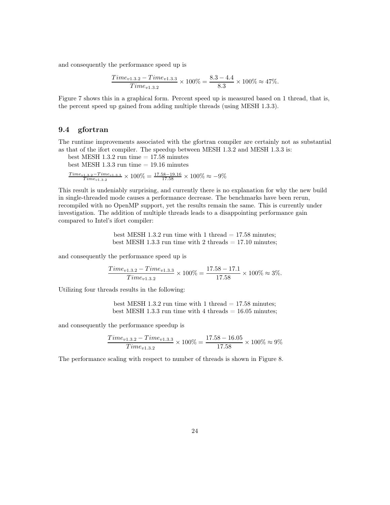and consequently the performance speed up is

$$
\frac{Time_{v1.3.2} - Time_{v1.3.3}}{Time_{v1.3.2}} \times 100\% = \frac{8.3 - 4.4}{8.3} \times 100\% \approx 47\%.
$$

Figure 7 shows this in a graphical form. Percent speed up is measured based on 1 thread, that is, the percent speed up gained from adding multiple threads (using MESH 1.3.3).

### 9.4 gfortran

The runtime improvements associated with the gfortran compiler are certainly not as substantial as that of the ifort compiler. The speedup between MESH 1.3.2 and MESH 1.3.3 is:

best MESH 1.3.2 run time  $= 17.58$  minutes best MESH  $1.3.3$  run time  $= 19.16$  minutes  $\frac{Time_{v1.3.2} - Time_{v1.3.3}}{Time_{v1.3.2}} \times 100\% = \frac{17.58 - 19.16}{17.58} \times 100\% \approx -9\%$ 

This result is undeniably surprising, and currently there is no explanation for why the new build in single-threaded mode causes a performance decrease. The benchmarks have been rerun, recompiled with no OpenMP support, yet the results remain the same. This is currently under investigation. The addition of multiple threads leads to a disappointing performance gain compared to Intel's ifort compiler:

> best MESH 1.3.2 run time with 1 thread  $= 17.58$  minutes; best MESH 1.3.3 run time with 2 threads  $= 17.10$  minutes;

and consequently the performance speed up is

$$
\frac{Time_{v1.3.2} - Time_{v1.3.3}}{Time_{v1.3.2}} \times 100\% = \frac{17.58 - 17.1}{17.58} \times 100\% \approx 3\%.
$$

Utilizing four threads results in the following:

best MESH 1.3.2 run time with 1 thread  $= 17.58$  minutes; best MESH 1.3.3 run time with 4 threads  $= 16.05$  minutes;

and consequently the performance speedup is

$$
\frac{Time_{v1.3.2} - Time_{v1.3.3}}{Time_{v1.3.2}} \times 100\% = \frac{17.58 - 16.05}{17.58} \times 100\% \approx 9\%
$$

The performance scaling with respect to number of threads is shown in Figure 8.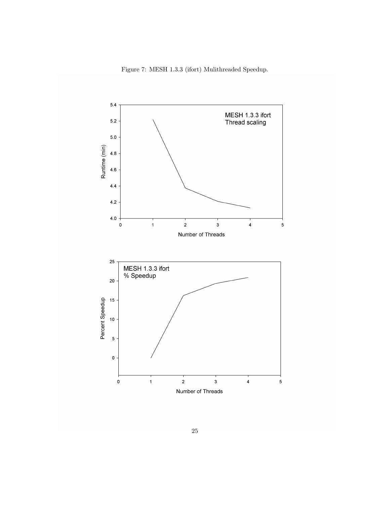Figure 7: MESH 1.3.3 (ifort) Mulithreaded Speedup.

![](_page_25_Figure_1.jpeg)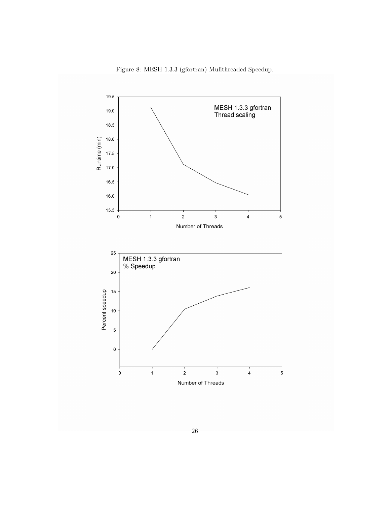Figure 8: MESH 1.3.3 (gfortran) Mulithreaded Speedup.

![](_page_26_Figure_1.jpeg)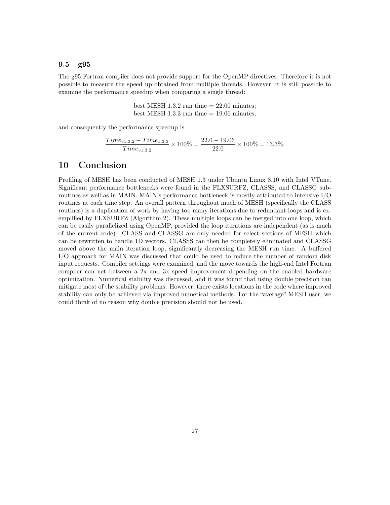#### 9.5 g95

The g95 Fortran compiler does not provide support for the OpenMP directives. Therefore it is not possible to measure the speed up obtained from multiple threads. However, it is still possible to examine the performance speedup when comparing a single thread:

> best MESH 1.3.2 run time  $= 22.00$  minutes; best MESH 1.3.3 run time  $= 19.06$  minutes;

and consequently the performance speedup is

$$
\frac{Time_{v1.3.2} - Time_{1.3.3}}{Time_{v1.3.2}} \times 100\% = \frac{22.0 - 19.06}{22.0} \times 100\% = 13.3\%.
$$

### 10 Conclusion

Profiling of MESH has been conducted of MESH 1.3 under Ubuntu Linux 8.10 with Intel VTune. Significant performance bottlenecks were found in the FLXSURFZ, CLASSS, and CLASSG subroutines as well as in MAIN. MAIN's performance bottleneck is mostly attributed to intensive I/O routines at each time step. An overall pattern throughout much of MESH (specifically the CLASS routines) is a duplication of work by having too many iterations due to redundant loops and is exemplified by FLXSURFZ (Algorithm 2). These multiple loops can be merged into one loop, which can be easily parallelized using OpenMP, provided the loop iterations are independent (as is much of the current code). CLASS and CLASSG are only needed for select sections of MESH which can be rewritten to handle 1D vectors. CLASSS can then be completely eliminated and CLASSG moved above the main iteration loop, significantly decreasing the MESH run time. A buffered I/O approach for MAIN was discussed that could be used to reduce the number of random disk input requests. Compiler settings were examined, and the move towards the high-end Intel Fortran compiler can net between a 2x and 3x speed improvement depending on the enabled hardware optimization. Numerical stability was discussed, and it was found that using double precision can mitigate most of the stability problems. However, there exists locations in the code where improved stability can only be achieved via improved numerical methods. For the "average" MESH user, we could think of no reason why double precision should not be used.